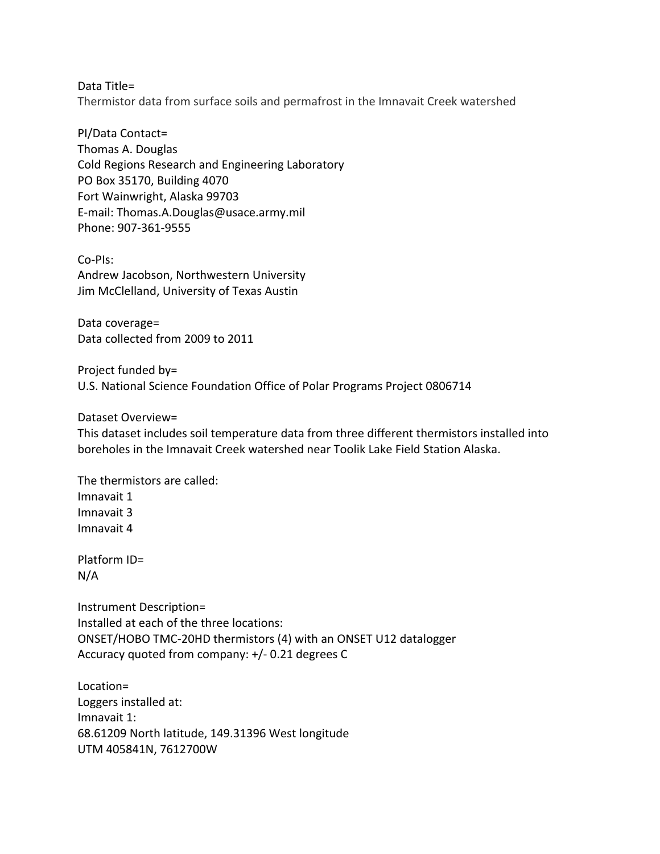Data Title= Thermistor data from surface soils and permafrost in the Imnavait Creek watershed

PI/Data Contact= Thomas A. Douglas Cold Regions Research and Engineering Laboratory PO Box 35170, Building 4070 Fort Wainwright, Alaska 99703 E-mail: Thomas.A.Douglas@usace.army.mil Phone: 907-361-9555

Co-PIs: Andrew Jacobson, Northwestern University Jim McClelland, University of Texas Austin

Data coverage= Data collected from 2009 to 2011

Project funded by= U.S. National Science Foundation Office of Polar Programs Project 0806714

Dataset Overview=

This dataset includes soil temperature data from three different thermistors installed into boreholes in the Imnavait Creek watershed near Toolik Lake Field Station Alaska.

The thermistors are called: Imnavait 1 Imnavait 3 Imnavait 4

Platform ID= N/A

Instrument Description= Installed at each of the three locations: ONSET/HOBO TMC-20HD thermistors (4) with an ONSET U12 datalogger Accuracy quoted from company: +/- 0.21 degrees C

Location= Loggers installed at: Imnavait 1: 68.61209 North latitude, 149.31396 West longitude UTM 405841N, 7612700W